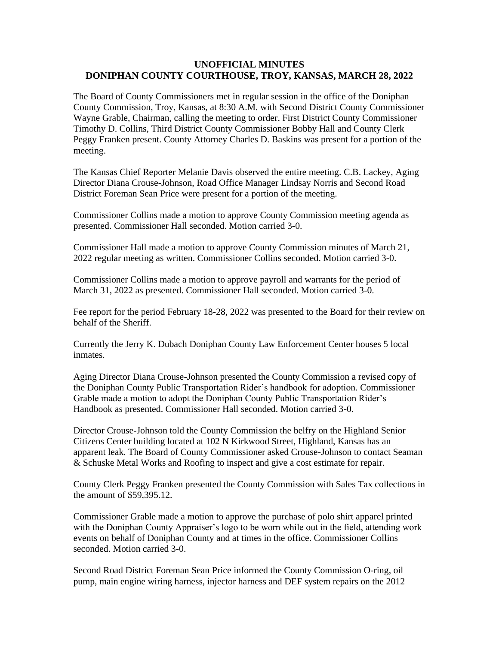## **UNOFFICIAL MINUTES DONIPHAN COUNTY COURTHOUSE, TROY, KANSAS, MARCH 28, 2022**

The Board of County Commissioners met in regular session in the office of the Doniphan County Commission, Troy, Kansas, at 8:30 A.M. with Second District County Commissioner Wayne Grable, Chairman, calling the meeting to order. First District County Commissioner Timothy D. Collins, Third District County Commissioner Bobby Hall and County Clerk Peggy Franken present. County Attorney Charles D. Baskins was present for a portion of the meeting.

The Kansas Chief Reporter Melanie Davis observed the entire meeting. C.B. Lackey, Aging Director Diana Crouse-Johnson, Road Office Manager Lindsay Norris and Second Road District Foreman Sean Price were present for a portion of the meeting.

Commissioner Collins made a motion to approve County Commission meeting agenda as presented. Commissioner Hall seconded. Motion carried 3-0.

Commissioner Hall made a motion to approve County Commission minutes of March 21, 2022 regular meeting as written. Commissioner Collins seconded. Motion carried 3-0.

Commissioner Collins made a motion to approve payroll and warrants for the period of March 31, 2022 as presented. Commissioner Hall seconded. Motion carried 3-0.

Fee report for the period February 18-28, 2022 was presented to the Board for their review on behalf of the Sheriff.

Currently the Jerry K. Dubach Doniphan County Law Enforcement Center houses 5 local inmates.

Aging Director Diana Crouse-Johnson presented the County Commission a revised copy of the Doniphan County Public Transportation Rider's handbook for adoption. Commissioner Grable made a motion to adopt the Doniphan County Public Transportation Rider's Handbook as presented. Commissioner Hall seconded. Motion carried 3-0.

Director Crouse-Johnson told the County Commission the belfry on the Highland Senior Citizens Center building located at 102 N Kirkwood Street, Highland, Kansas has an apparent leak. The Board of County Commissioner asked Crouse-Johnson to contact Seaman & Schuske Metal Works and Roofing to inspect and give a cost estimate for repair.

County Clerk Peggy Franken presented the County Commission with Sales Tax collections in the amount of \$59,395.12.

Commissioner Grable made a motion to approve the purchase of polo shirt apparel printed with the Doniphan County Appraiser's logo to be worn while out in the field, attending work events on behalf of Doniphan County and at times in the office. Commissioner Collins seconded. Motion carried 3-0.

Second Road District Foreman Sean Price informed the County Commission O-ring, oil pump, main engine wiring harness, injector harness and DEF system repairs on the 2012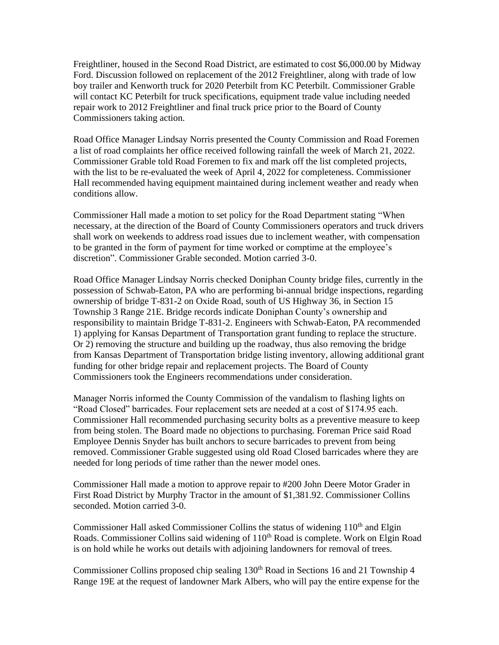Freightliner, housed in the Second Road District, are estimated to cost \$6,000.00 by Midway Ford. Discussion followed on replacement of the 2012 Freightliner, along with trade of low boy trailer and Kenworth truck for 2020 Peterbilt from KC Peterbilt. Commissioner Grable will contact KC Peterbilt for truck specifications, equipment trade value including needed repair work to 2012 Freightliner and final truck price prior to the Board of County Commissioners taking action.

Road Office Manager Lindsay Norris presented the County Commission and Road Foremen a list of road complaints her office received following rainfall the week of March 21, 2022. Commissioner Grable told Road Foremen to fix and mark off the list completed projects, with the list to be re-evaluated the week of April 4, 2022 for completeness. Commissioner Hall recommended having equipment maintained during inclement weather and ready when conditions allow.

Commissioner Hall made a motion to set policy for the Road Department stating "When necessary, at the direction of the Board of County Commissioners operators and truck drivers shall work on weekends to address road issues due to inclement weather, with compensation to be granted in the form of payment for time worked or comptime at the employee's discretion". Commissioner Grable seconded. Motion carried 3-0.

Road Office Manager Lindsay Norris checked Doniphan County bridge files, currently in the possession of Schwab-Eaton, PA who are performing bi-annual bridge inspections, regarding ownership of bridge T-831-2 on Oxide Road, south of US Highway 36, in Section 15 Township 3 Range 21E. Bridge records indicate Doniphan County's ownership and responsibility to maintain Bridge T-831-2. Engineers with Schwab-Eaton, PA recommended 1) applying for Kansas Department of Transportation grant funding to replace the structure. Or 2) removing the structure and building up the roadway, thus also removing the bridge from Kansas Department of Transportation bridge listing inventory, allowing additional grant funding for other bridge repair and replacement projects. The Board of County Commissioners took the Engineers recommendations under consideration.

Manager Norris informed the County Commission of the vandalism to flashing lights on "Road Closed" barricades. Four replacement sets are needed at a cost of \$174.95 each. Commissioner Hall recommended purchasing security bolts as a preventive measure to keep from being stolen. The Board made no objections to purchasing. Foreman Price said Road Employee Dennis Snyder has built anchors to secure barricades to prevent from being removed. Commissioner Grable suggested using old Road Closed barricades where they are needed for long periods of time rather than the newer model ones.

Commissioner Hall made a motion to approve repair to #200 John Deere Motor Grader in First Road District by Murphy Tractor in the amount of \$1,381.92. Commissioner Collins seconded. Motion carried 3-0.

Commissioner Hall asked Commissioner Collins the status of widening  $110<sup>th</sup>$  and Elgin Roads. Commissioner Collins said widening of 110<sup>th</sup> Road is complete. Work on Elgin Road is on hold while he works out details with adjoining landowners for removal of trees.

Commissioner Collins proposed chip sealing 130<sup>th</sup> Road in Sections 16 and 21 Township 4 Range 19E at the request of landowner Mark Albers, who will pay the entire expense for the